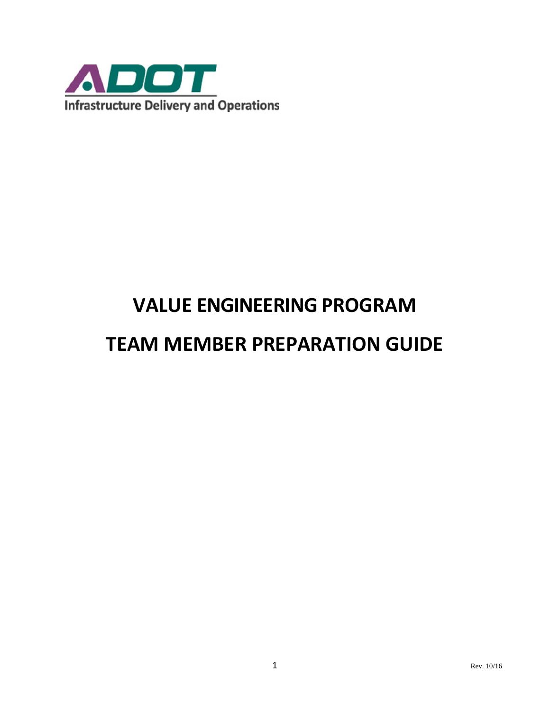

# **VALUE ENGINEERING PROGRAM**

## **TEAM MEMBER PREPARATION GUIDE**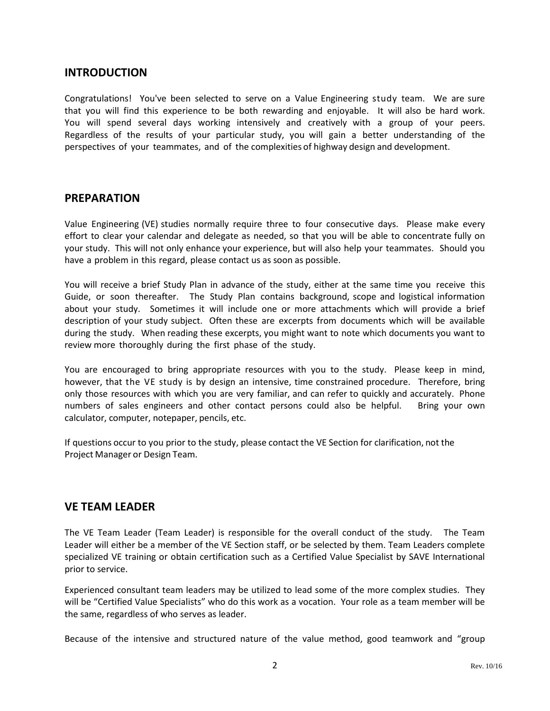#### **INTRODUCTION**

Congratulations! You've been selected to serve on a Value Engineering study team. We are sure that you will find this experience to be both rewarding and enjoyable. It will also be hard work. You will spend several days working intensively and creatively with a group of your peers. Regardless of the results of your particular study, you will gain a better understanding of the perspectives of your teammates, and of the complexities of highway design and development.

#### **PREPARATION**

Value Engineering (VE) studies normally require three to four consecutive days. Please make every effort to clear your calendar and delegate as needed, so that you will be able to concentrate fully on your study. This will not only enhance your experience, but will also help your teammates. Should you have a problem in this regard, please contact us as soon as possible.

You will receive a brief Study Plan in advance of the study, either at the same time you receive this Guide, or soon thereafter. The Study Plan contains background, scope and logistical information about your study. Sometimes it will include one or more attachments which will provide a brief description of your study subject. Often these are excerpts from documents which will be available during the study. When reading these excerpts, you might want to note which documents you want to review more thoroughly during the first phase of the study.

You are encouraged to bring appropriate resources with you to the study. Please keep in mind, however, that the VE study is by design an intensive, time constrained procedure. Therefore, bring only those resources with which you are very familiar, and can refer to quickly and accurately. Phone numbers of sales engineers and other contact persons could also be helpful. Bring your own calculator, computer, notepaper, pencils, etc.

If questions occur to you prior to the study, please contact the VE Section for clarification, not the Project Manager or Design Team.

#### **VE TEAM LEADER**

The VE Team Leader (Team Leader) is responsible for the overall conduct of the study. The Team Leader will either be a member of the VE Section staff, or be selected by them. Team Leaders complete specialized VE training or obtain certification such as a Certified Value Specialist by SAVE International prior to service.

Experienced consultant team leaders may be utilized to lead some of the more complex studies. They will be "Certified Value Specialists" who do this work as a vocation. Your role as a team member will be the same, regardless of who serves as leader.

Because of the intensive and structured nature of the value method, good teamwork and "group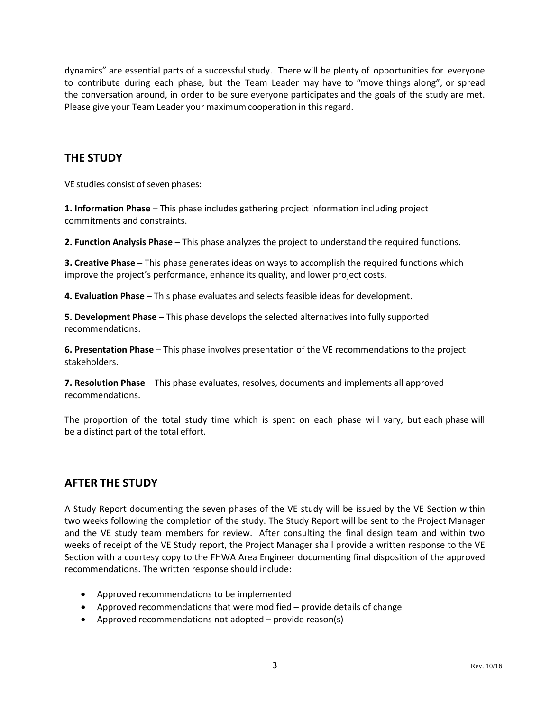dynamics" are essential parts of a successful study. There will be plenty of opportunities for everyone to contribute during each phase, but the Team Leader may have to "move things along", or spread the conversation around, in order to be sure everyone participates and the goals of the study are met. Please give your Team Leader your maximum cooperation in this regard.

### **THE STUDY**

VE studies consist of seven phases:

**1. Information Phase** – This phase includes gathering project information including project commitments and constraints.

**2. Function Analysis Phase** – This phase analyzes the project to understand the required functions.

**3. Creative Phase** – This phase generates ideas on ways to accomplish the required functions which improve the project's performance, enhance its quality, and lower project costs.

**4. Evaluation Phase** – This phase evaluates and selects feasible ideas for development.

**5. Development Phase** – This phase develops the selected alternatives into fully supported recommendations.

**6. Presentation Phase** – This phase involves presentation of the VE recommendations to the project stakeholders.

**7. Resolution Phase** – This phase evaluates, resolves, documents and implements all approved recommendations.

The proportion of the total study time which is spent on each phase will vary, but each phase will be a distinct part of the total effort.

#### **AFTER THE STUDY**

A Study Report documenting the seven phases of the VE study will be issued by the VE Section within two weeks following the completion of the study. The Study Report will be sent to the Project Manager and the VE study team members for review. After consulting the final design team and within two weeks of receipt of the VE Study report, the Project Manager shall provide a written response to the VE Section with a courtesy copy to the FHWA Area Engineer documenting final disposition of the approved recommendations. The written response should include:

- Approved recommendations to be implemented
- Approved recommendations that were modified provide details of change
- Approved recommendations not adopted provide reason(s)